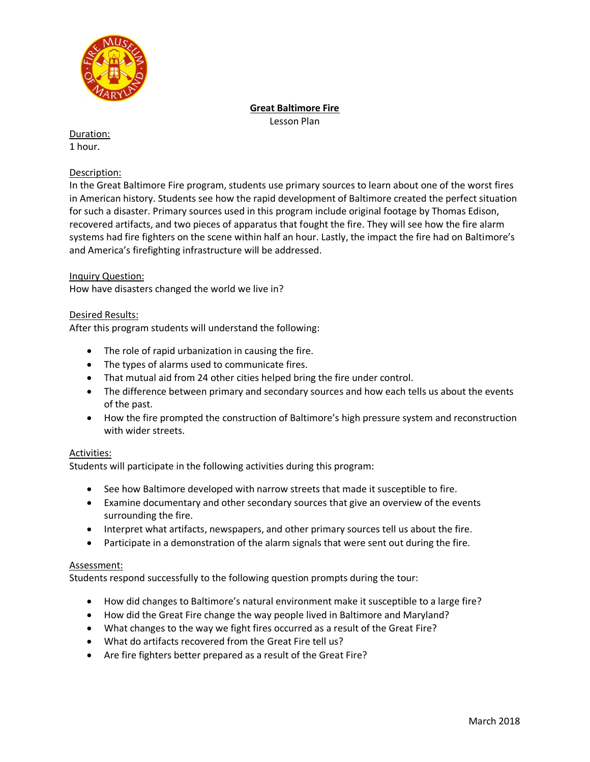

# **Great Baltimore Fire**

Lesson Plan

Duration: 1 hour.

# Description:

In the Great Baltimore Fire program, students use primary sources to learn about one of the worst fires in American history. Students see how the rapid development of Baltimore created the perfect situation for such a disaster. Primary sources used in this program include original footage by Thomas Edison, recovered artifacts, and two pieces of apparatus that fought the fire. They will see how the fire alarm systems had fire fighters on the scene within half an hour. Lastly, the impact the fire had on Baltimore's and America's firefighting infrastructure will be addressed.

# Inquiry Question:

How have disasters changed the world we live in?

## Desired Results:

After this program students will understand the following:

- The role of rapid urbanization in causing the fire.
- The types of alarms used to communicate fires.
- That mutual aid from 24 other cities helped bring the fire under control.
- The difference between primary and secondary sources and how each tells us about the events of the past.
- How the fire prompted the construction of Baltimore's high pressure system and reconstruction with wider streets.

## Activities:

Students will participate in the following activities during this program:

- See how Baltimore developed with narrow streets that made it susceptible to fire.
- Examine documentary and other secondary sources that give an overview of the events surrounding the fire.
- Interpret what artifacts, newspapers, and other primary sources tell us about the fire.
- Participate in a demonstration of the alarm signals that were sent out during the fire.

## Assessment:

Students respond successfully to the following question prompts during the tour:

- How did changes to Baltimore's natural environment make it susceptible to a large fire?
- How did the Great Fire change the way people lived in Baltimore and Maryland?
- What changes to the way we fight fires occurred as a result of the Great Fire?
- What do artifacts recovered from the Great Fire tell us?
- Are fire fighters better prepared as a result of the Great Fire?